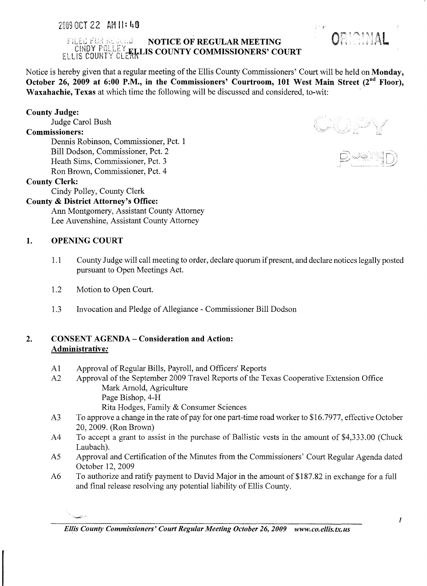# $\texttt{FJLEL}[\texttt{URL}]\text{HLEL}$  NOTICE OF REGULAR MEETING CINDY FULLE FELLIS COUNTY COMMISSIONERS' COURT

Notice is hereby given that a regular meeting of the Ellis County Commissioners' Court will be held on Monday, October 26, 2009 at 6:00 P.M., in the Commissioners' Courtroom, 101 West Main Street (2<sup>nd</sup> Floor), Waxahachie, Texas at which time the following will be discussed and considered, to-wit: '

## County Judge:

Judge Carol Bush

#### Commissioners:

Dennis Robinson, Commissioner, Pct. 1 Bill Dodson, Commissioner, Pct. 2 Heath Sims, Commissioner, Pct. 3 Ron Brown, Commissioner, Pct. 4

## County Clerk:

Cindy Polley, County Clerk

## County & District Attorney's Office:

Ann Montgomery, Assistant County Attorney Lee Auvenshine, Assistant County Attorney

## 1. OPENING COURT

)<br>Samangan

- 1.1 County Judge will call meeting to order, declare quorum if present, and declare notices legally posted pursuant to Open Meetings Act.
- 1.2 Motion to Open Court.
- 1.3 Invocation and Pledge of Allegiance Commissioner Bill Dodson

## 2. CONSENT AGENDA - Consideration and Action: Administrative:

- Al Approval of Regular Bills, Payroll, and Officers' Reports
- A2 Approval of the September 2009 Travel Reports of the Texas Cooperative Extension Office Mark Arnold, Agriculture Page Bishop, 4-H Rita Hodges, Family & Consumer Sciences
- A3 To approve a change in the rate of pay for one part-time road worker to \$16.7977, effective October 20, 2009. (Ron Brown)
- A4 To accept a grant to assist in the purchase of Ballistic vests in the amount of \$4,333.00 (Chuck Laubach).
- A5 Approval and Certification of the Minutes from the Commissioners' Court Regular Agenda dated October 12,2009
- A6 To authorize and ratify payment to David Major in the amount of \$187.82 in exchange for a full and final release resolving any potential liability of Ellis County.



ORIGINAL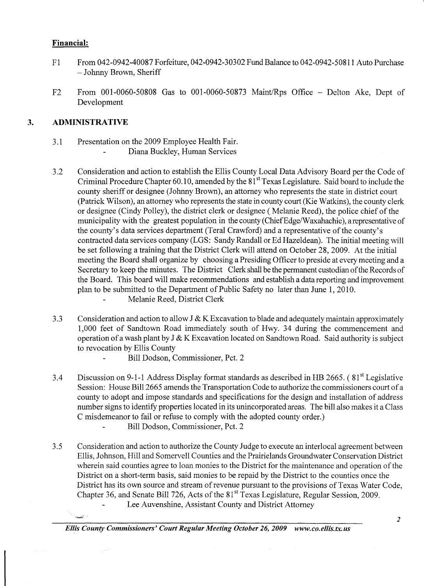## **Financial:**

- F1 From 042-0942-40087 Forfeiture, 042-0942-30302 Fund Balance to 042-0942-50811 Auto Purchase - Johnny Brown, Sheriff
- F2 From 001-0060-50808 Gas to 001-0060-50873 Maint/Rps Office Delton Ake, Dept of Development

## **3. ADMINISTRATIVE**

- 3.1 Presentation on the 2009 Employee Health Fair. Diana Buckley, Human Services
- 3.2 Consideration and action to establish the Ellis County Local Data Advisory Board per the Code of Criminal Procedure Chapter 60.10, amended by the 81<sup>st</sup> Texas Legislature. Said board to include the county sheriff or designee (Johnny Brown), an attorney who represents the state in district court (Patrick Wilson), an attorney who represents the state in county court (Kie Watkins), the county clerk or designee (Cindy Polley), the district clerk or designee (Melanie Reed), the police chief of the municipality with the greatest population in the county (Chief Edge/W axahachie), a representative of the county's data services department (Teral Crawford) and a representative of the county's contracted data services company (LGS: Sandy Randall or Ed Hazeldean). The initial meeting will be set following a training that the District Clerk will attend on October 28,2009. At the initial meeting the Board shall organize by choosing a Presiding Officer to preside at every meeting and a Secretary to keep the minutes. The District Clerk shall be the permanent custodian of the Records of the Board. This board will make recommendations and establish a data reporting and improvement plan to be submitted to the Department of Public Safety no later than June 1,2010. Melanie Reed, District Clerk
- 3.3 Consideration and action to allow J & K Excavation to blade and adequately maintain approximately 1,000 feet of Sandtown Road immediately south of Hwy. 34 during the commencement and operation of a wash plant by  $J & K$  Excavation located on Sandtown Road. Said authority is subject to revocation by Ellis County
	- Bill Dodson, Commissioner, Pct. 2
- 3.4 Discussion on 9-1-1 Address Display format standards as described in HB 2665. (81<sup>st</sup> Legislative Session: House Bill 2665 amends the Transportation Code to authorize the commissioners court of a county to adopt and impose standards and specifications for the design and installation of address number signs to identify properties located in its unincorporated areas. The bill also makes it a Class C misdemeanor to fail or refuse to comply with the adopted county order.)
	- Bill Dodson, Commissioner, Pct. 2
- 3.5 Consideration and action to authorize the County Judge to execute an interlocal agreement between Ellis, Johnson, Hill and Somervell Counties and the Prairielands Groundwater Conservation District wherein said counties agree to loan monies to the District for the maintenance and operation of the District on a short-term basis, said monies to be repaid by the District to the counties once the District has its own source and stream of revenue pursuant to the provisions of Texas Water Code, Chapter 36, and Senate Bill 726, Acts of the 81<sup>st</sup> Texas Legislature, Regular Session, 2009. Lee Auvenshine, Assistant County and District Attorney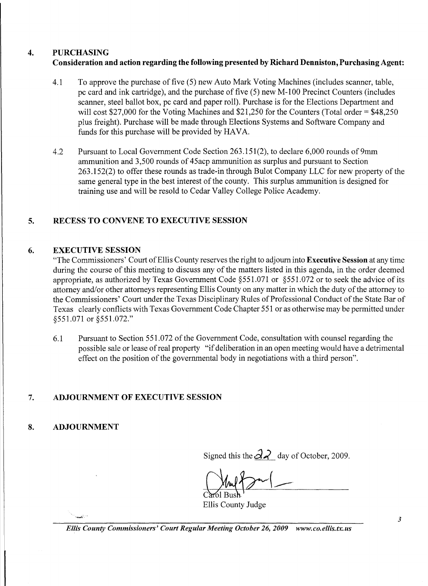## 4. PURCHASING Consideration and action regarding the following presented by Richard Denniston, Purchasing Agent:

- 4.1 To approve the purchase of five (5) new Auto Mark Voting Machines (includes scanner, table, pc card and ink cartridge), and the purchase of five  $(5)$  new M-100 Precinct Counters (includes scanner, steel ballot box, pc card and paper roll). Purchase is for the Elections Department and will cost \$27,000 for the Voting Machines and \$21,250 for the Counters (Total order = \$48,250) plus freight). Purchase will be made through Elections Systems and Software Company and funds for this purchase will be provided by HAVA.
- 4.2 Pursuant to Local Government Code Section 263.151(2), to declare 6,000 rounds of 9mm ammunition and 3,500 rounds of 45acp ammunition as surplus and pursuant to Section 263.152(2) to offer these rounds as trade-in through Bulot Company LLC for new property of the same general type in the best interest of the county. This surplus ammunition is designed for training use and will be resold to Cedar Valley College Police Academy.

## 5. RECESS TO CONVENE TO EXECUTIVE SESSION

## 6. EXECUTIVE SESSION

"The Commissioners' Court of Ellis County reserves the right to adjourn into Executive Session at any time during the course of this meeting to discuss any of the matters listed in this agenda, in the order deemed appropriate, as authorized by Texas Government Code §551.071 or §551.072 or to seek the advice of its attorney and/or other attorneys representing Ellis County on any matter in which the duty of the attorney to the Commissioners' Court under the Texas Disciplinary Rules of Professional Conduct of the State Bar of Texas clearly conflicts with Texas Government Code Chapter 551 or as otherwise may be permitted under §551.071 or §551.072."

6.1 Pursuant to Section 551.072 of the Government Code, consultation with counsel regarding the possible sale or lease of real property "if deliberation in an open meeting would have a detrimental effect on the position of the governmental body in negotiations with a third person".

## 7. ADJOURNMENT OF EXECUTIVE SESSION

## 8. ADJOURNMENT

Signed this the  $\frac{3}{2}$  day of October, 2009.

Ellis County Judge

*Ellis County Commissioners' Court Regular Meeting October* 26, *2009 www.co.ellis.tx.us*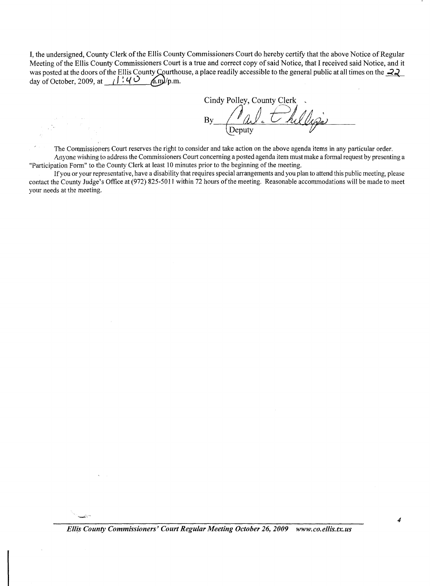I, the undersigned, County Clerk of the Ellis County Commissioners Court do hereby certify that the above Notice of Regular Meeting of the Ellis County Commissioners Court is a true and correct copy of said Notice, that I received said Notice, and it was posted at the doors of the Ellis County Courthouse, a place readily accessible to the general public at all times on the  $\frac{22}{\cancel{2}}$ <br>day of October, 2009, at (1, 4 O (a,m)/p,m. day of October, 2009, at  $\frac{1}{4}$  :  $\frac{1}{4}$   $\frac{1}{6}$ 

Cindy Polley, County Clerk \_  $\n \frac{\partial u}{\partial y}$   $\frac{\partial u}{\partial y}$ Val. the ligs

The Commissioners Court reserves the right to consider and take action on the above agenda items in any particular order. Anyone wishing to address the Commissioners Court concerning a posted agenda item must make a formal request by presenting a "Participation Form" to the County Clerk at least 10 minutes prior to the beginning of the meeting.

If you or your representative, have a disability that requires special arrangements and you plan to attend this public meeting, please contact the County Judge's Office at (972) 825-5011 within 72 hours of the meeting. Reasonable accommodations will be made to meet your needs at the *meeting.* 

*Ellis County Commissioners' Court Regular Meeting October* 26, *2009 www.co.ellis.tx.us* 

4